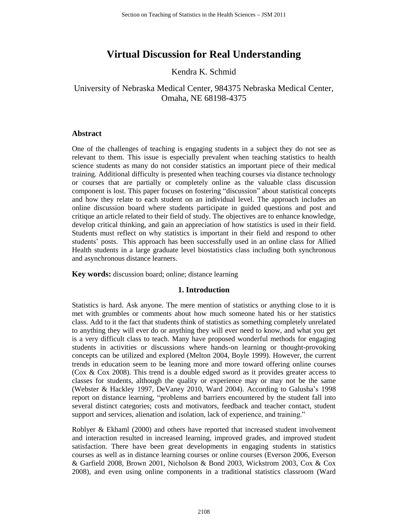# **Virtual Discussion for Real Understanding**

Kendra K. Schmid

University of Nebraska Medical Center, 984375 Nebraska Medical Center, Omaha, NE 68198-4375

## **Abstract**

One of the challenges of teaching is engaging students in a subject they do not see as relevant to them. This issue is especially prevalent when teaching statistics to health science students as many do not consider statistics an important piece of their medical training. Additional difficulty is presented when teaching courses via distance technology or courses that are partially or completely online as the valuable class discussion component is lost. This paper focuses on fostering "discussion" about statistical concepts and how they relate to each student on an individual level. The approach includes an online discussion board where students participate in guided questions and post and critique an article related to their field of study. The objectives are to enhance knowledge, develop critical thinking, and gain an appreciation of how statistics is used in their field. Students must reflect on why statistics is important in their field and respond to other students' posts. This approach has been successfully used in an online class for Allied Health students in a large graduate level biostatistics class including both synchronous and asynchronous distance learners.

**Key words:** discussion board; online; distance learning

## **1. Introduction**

Statistics is hard. Ask anyone. The mere mention of statistics or anything close to it is met with grumbles or comments about how much someone hated his or her statistics class. Add to it the fact that students think of statistics as something completely unrelated to anything they will ever do or anything they will ever need to know, and what you get is a very difficult class to teach. Many have proposed wonderful methods for engaging students in activities or discussions where hands-on learning or thought-provoking concepts can be utilized and explored (Melton 2004, Boyle 1999). However, the current trends in education seem to be leaning more and more toward offering online courses (Cox & Cox 2008). This trend is a double edged sword as it provides greater access to classes for students, although the quality or experience may or may not be the same (Webster & Hackley 1997, DeVaney 2010, Ward 2004). According to Galusha's 1998 report on distance learning, "problems and barriers encountered by the student fall into several distinct categories; costs and motivators, feedback and teacher contact, student support and services, alienation and isolation, lack of experience, and training."

Roblyer & Ekhaml (2000) and others have reported that increased student involvement and interaction resulted in increased learning, improved grades, and improved student satisfaction. There have been great developments in engaging students in statistics courses as well as in distance learning courses or online courses (Everson 2006, Everson & Garfield 2008, Brown 2001, Nicholson & Bond 2003, Wickstrom 2003, Cox & Cox 2008), and even using online components in a traditional statistics classroom (Ward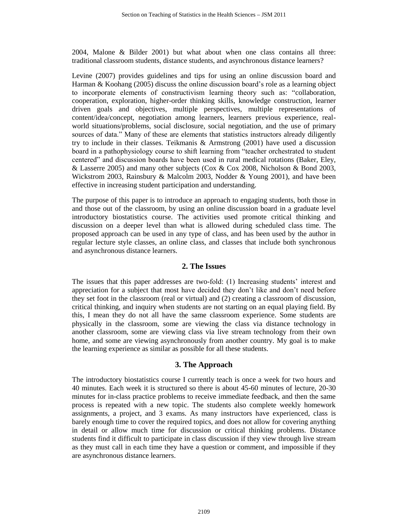2004, Malone & Bilder 2001) but what about when one class contains all three: traditional classroom students, distance students, and asynchronous distance learners?

Levine (2007) provides guidelines and tips for using an online discussion board and Harman & Koohang (2005) discuss the online discussion board's role as a learning object to incorporate elements of constructivism learning theory such as: "collaboration, cooperation, exploration, higher-order thinking skills, knowledge construction, learner driven goals and objectives, multiple perspectives, multiple representations of content/idea/concept, negotiation among learners, learners previous experience, realworld situations/problems, social disclosure, social negotiation, and the use of primary sources of data." Many of these are elements that statistics instructors already diligently try to include in their classes. Teikmanis & Armstrong (2001) have used a discussion board in a pathophysiology course to shift learning from "teacher orchestrated to student centered" and discussion boards have been used in rural medical rotations (Baker, Eley, & Lasserre 2005) and many other subjects (Cox & Cox 2008, Nicholson & Bond 2003, Wickstrom 2003, Rainsbury & Malcolm 2003, Nodder & Young 2001), and have been effective in increasing student participation and understanding.

The purpose of this paper is to introduce an approach to engaging students, both those in and those out of the classroom, by using an online discussion board in a graduate level introductory biostatistics course. The activities used promote critical thinking and discussion on a deeper level than what is allowed during scheduled class time. The proposed approach can be used in any type of class, and has been used by the author in regular lecture style classes, an online class, and classes that include both synchronous and asynchronous distance learners.

#### **2. The Issues**

The issues that this paper addresses are two-fold: (1) Increasing students' interest and appreciation for a subject that most have decided they don't like and don't need before they set foot in the classroom (real or virtual) and (2) creating a classroom of discussion, critical thinking, and inquiry when students are not starting on an equal playing field. By this, I mean they do not all have the same classroom experience. Some students are physically in the classroom, some are viewing the class via distance technology in another classroom, some are viewing class via live stream technology from their own home, and some are viewing asynchronously from another country. My goal is to make the learning experience as similar as possible for all these students.

### **3. The Approach**

The introductory biostatistics course I currently teach is once a week for two hours and 40 minutes. Each week it is structured so there is about 45-60 minutes of lecture, 20-30 minutes for in-class practice problems to receive immediate feedback, and then the same process is repeated with a new topic. The students also complete weekly homework assignments, a project, and 3 exams. As many instructors have experienced, class is barely enough time to cover the required topics, and does not allow for covering anything in detail or allow much time for discussion or critical thinking problems. Distance students find it difficult to participate in class discussion if they view through live stream as they must call in each time they have a question or comment, and impossible if they are asynchronous distance learners.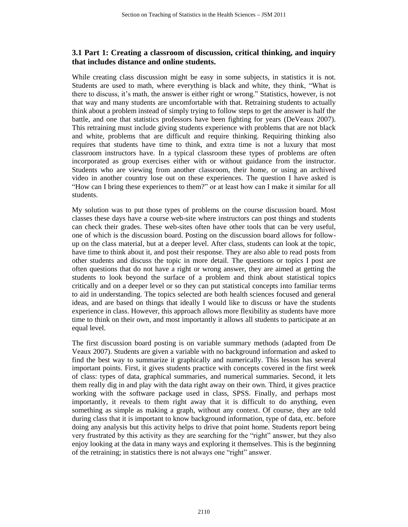## **3.1 Part 1: Creating a classroom of discussion, critical thinking, and inquiry that includes distance and online students.**

While creating class discussion might be easy in some subjects, in statistics it is not. Students are used to math, where everything is black and white, they think, "What is there to discuss, it's math, the answer is either right or wrong." Statistics, however, is not that way and many students are uncomfortable with that. Retraining students to actually think about a problem instead of simply trying to follow steps to get the answer is half the battle, and one that statistics professors have been fighting for years (DeVeaux 2007). This retraining must include giving students experience with problems that are not black and white, problems that are difficult and require thinking. Requiring thinking also requires that students have time to think, and extra time is not a luxury that most classroom instructors have. In a typical classroom these types of problems are often incorporated as group exercises either with or without guidance from the instructor. Students who are viewing from another classroom, their home, or using an archived video in another country lose out on these experiences. The question I have asked is "How can I bring these experiences to them?" or at least how can I make it similar for all students.

My solution was to put those types of problems on the course discussion board. Most classes these days have a course web-site where instructors can post things and students can check their grades. These web-sites often have other tools that can be very useful, one of which is the discussion board. Posting on the discussion board allows for followup on the class material, but at a deeper level. After class, students can look at the topic, have time to think about it, and post their response. They are also able to read posts from other students and discuss the topic in more detail. The questions or topics I post are often questions that do not have a right or wrong answer, they are aimed at getting the students to look beyond the surface of a problem and think about statistical topics critically and on a deeper level or so they can put statistical concepts into familiar terms to aid in understanding. The topics selected are both health sciences focused and general ideas, and are based on things that ideally I would like to discuss or have the students experience in class. However, this approach allows more flexibility as students have more time to think on their own, and most importantly it allows all students to participate at an equal level.

The first discussion board posting is on variable summary methods (adapted from De Veaux 2007). Students are given a variable with no background information and asked to find the best way to summarize it graphically and numerically. This lesson has several important points. First, it gives students practice with concepts covered in the first week of class: types of data, graphical summaries, and numerical summaries. Second, it lets them really dig in and play with the data right away on their own. Third, it gives practice working with the software package used in class, SPSS. Finally, and perhaps most importantly, it reveals to them right away that it is difficult to do anything, even something as simple as making a graph, without any context. Of course, they are told during class that it is important to know background information, type of data, etc. before doing any analysis but this activity helps to drive that point home. Students report being very frustrated by this activity as they are searching for the "right" answer, but they also enjoy looking at the data in many ways and exploring it themselves. This is the beginning of the retraining; in statistics there is not always one "right" answer.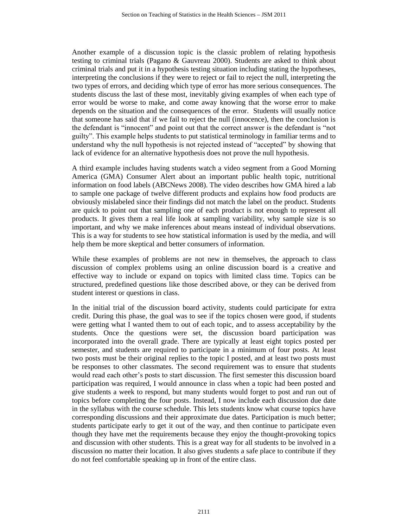Another example of a discussion topic is the classic problem of relating hypothesis testing to criminal trials (Pagano & Gauvreau 2000). Students are asked to think about criminal trials and put it in a hypothesis testing situation including stating the hypotheses, interpreting the conclusions if they were to reject or fail to reject the null, interpreting the two types of errors, and deciding which type of error has more serious consequences. The students discuss the last of these most, inevitably giving examples of when each type of error would be worse to make, and come away knowing that the worse error to make depends on the situation and the consequences of the error. Students will usually notice that someone has said that if we fail to reject the null (innocence), then the conclusion is the defendant is "innocent" and point out that the correct answer is the defendant is "not guilty". This example helps students to put statistical terminology in familiar terms and to understand why the null hypothesis is not rejected instead of "accepted" by showing that lack of evidence for an alternative hypothesis does not prove the null hypothesis.

A third example includes having students watch a video segment from a Good Morning America (GMA) Consumer Alert about an important public health topic, nutritional information on food labels (ABCNews 2008). The video describes how GMA hired a lab to sample one package of twelve different products and explains how food products are obviously mislabeled since their findings did not match the label on the product. Students are quick to point out that sampling one of each product is not enough to represent all products. It gives them a real life look at sampling variability, why sample size is so important, and why we make inferences about means instead of individual observations. This is a way for students to see how statistical information is used by the media, and will help them be more skeptical and better consumers of information.

While these examples of problems are not new in themselves, the approach to class discussion of complex problems using an online discussion board is a creative and effective way to include or expand on topics with limited class time. Topics can be structured, predefined questions like those described above, or they can be derived from student interest or questions in class.

In the initial trial of the discussion board activity, students could participate for extra credit. During this phase, the goal was to see if the topics chosen were good, if students were getting what I wanted them to out of each topic, and to assess acceptability by the students. Once the questions were set, the discussion board participation was incorporated into the overall grade. There are typically at least eight topics posted per semester, and students are required to participate in a minimum of four posts. At least two posts must be their original replies to the topic I posted, and at least two posts must be responses to other classmates. The second requirement was to ensure that students would read each other's posts to start discussion. The first semester this discussion board participation was required, I would announce in class when a topic had been posted and give students a week to respond, but many students would forget to post and run out of topics before completing the four posts. Instead, I now include each discussion due date in the syllabus with the course schedule. This lets students know what course topics have corresponding discussions and their approximate due dates. Participation is much better; students participate early to get it out of the way, and then continue to participate even though they have met the requirements because they enjoy the thought-provoking topics and discussion with other students. This is a great way for all students to be involved in a discussion no matter their location. It also gives students a safe place to contribute if they do not feel comfortable speaking up in front of the entire class.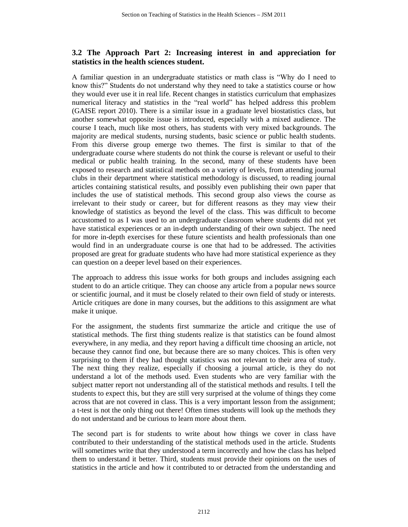## **3.2 The Approach Part 2: Increasing interest in and appreciation for statistics in the health sciences student.**

A familiar question in an undergraduate statistics or math class is "Why do I need to know this?" Students do not understand why they need to take a statistics course or how they would ever use it in real life. Recent changes in statistics curriculum that emphasizes numerical literacy and statistics in the "real world" has helped address this problem (GAISE report 2010). There is a similar issue in a graduate level biostatistics class, but another somewhat opposite issue is introduced, especially with a mixed audience. The course I teach, much like most others, has students with very mixed backgrounds. The majority are medical students, nursing students, basic science or public health students. From this diverse group emerge two themes. The first is similar to that of the undergraduate course where students do not think the course is relevant or useful to their medical or public health training. In the second, many of these students have been exposed to research and statistical methods on a variety of levels, from attending journal clubs in their department where statistical methodology is discussed, to reading journal articles containing statistical results, and possibly even publishing their own paper that includes the use of statistical methods. This second group also views the course as irrelevant to their study or career, but for different reasons as they may view their knowledge of statistics as beyond the level of the class. This was difficult to become accustomed to as I was used to an undergraduate classroom where students did not yet have statistical experiences or an in-depth understanding of their own subject. The need for more in-depth exercises for these future scientists and health professionals than one would find in an undergraduate course is one that had to be addressed. The activities proposed are great for graduate students who have had more statistical experience as they can question on a deeper level based on their experiences.

The approach to address this issue works for both groups and includes assigning each student to do an article critique. They can choose any article from a popular news source or scientific journal, and it must be closely related to their own field of study or interests. Article critiques are done in many courses, but the additions to this assignment are what make it unique.

For the assignment, the students first summarize the article and critique the use of statistical methods. The first thing students realize is that statistics can be found almost everywhere, in any media, and they report having a difficult time choosing an article, not because they cannot find one, but because there are so many choices. This is often very surprising to them if they had thought statistics was not relevant to their area of study. The next thing they realize, especially if choosing a journal article, is they do not understand a lot of the methods used. Even students who are very familiar with the subject matter report not understanding all of the statistical methods and results. I tell the students to expect this, but they are still very surprised at the volume of things they come across that are not covered in class. This is a very important lesson from the assignment; a t-test is not the only thing out there! Often times students will look up the methods they do not understand and be curious to learn more about them.

The second part is for students to write about how things we cover in class have contributed to their understanding of the statistical methods used in the article. Students will sometimes write that they understood a term incorrectly and how the class has helped them to understand it better. Third, students must provide their opinions on the uses of statistics in the article and how it contributed to or detracted from the understanding and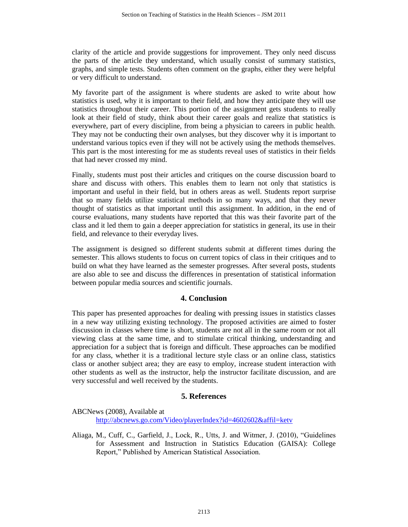clarity of the article and provide suggestions for improvement. They only need discuss the parts of the article they understand, which usually consist of summary statistics, graphs, and simple tests. Students often comment on the graphs, either they were helpful or very difficult to understand.

My favorite part of the assignment is where students are asked to write about how statistics is used, why it is important to their field, and how they anticipate they will use statistics throughout their career. This portion of the assignment gets students to really look at their field of study, think about their career goals and realize that statistics is everywhere, part of every discipline, from being a physician to careers in public health. They may not be conducting their own analyses, but they discover why it is important to understand various topics even if they will not be actively using the methods themselves. This part is the most interesting for me as students reveal uses of statistics in their fields that had never crossed my mind.

Finally, students must post their articles and critiques on the course discussion board to share and discuss with others. This enables them to learn not only that statistics is important and useful in their field, but in others areas as well. Students report surprise that so many fields utilize statistical methods in so many ways, and that they never thought of statistics as that important until this assignment. In addition, in the end of course evaluations, many students have reported that this was their favorite part of the class and it led them to gain a deeper appreciation for statistics in general, its use in their field, and relevance to their everyday lives.

The assignment is designed so different students submit at different times during the semester. This allows students to focus on current topics of class in their critiques and to build on what they have learned as the semester progresses. After several posts, students are also able to see and discuss the differences in presentation of statistical information between popular media sources and scientific journals.

### **4. Conclusion**

This paper has presented approaches for dealing with pressing issues in statistics classes in a new way utilizing existing technology. The proposed activities are aimed to foster discussion in classes where time is short, students are not all in the same room or not all viewing class at the same time, and to stimulate critical thinking, understanding and appreciation for a subject that is foreign and difficult. These approaches can be modified for any class, whether it is a traditional lecture style class or an online class, statistics class or another subject area; they are easy to employ, increase student interaction with other students as well as the instructor, help the instructor facilitate discussion, and are very successful and well received by the students.

### **5. References**

ABCNews (2008), Available at [http://abcnews.go.com/Video/playerIndex?id=4602602&affil=ketv](http://my8.unmc.edu/webapps/blackboard/content/contentWrapper.jsp?content_id=_120054_1&displayName=Extra+Credit+for+Exam+1&course_id=_84_1&navItem=content&href=http%3A//abcnews.go.com/Video/playerIndex%3Fid%3D4602602%26affil%3Dketv)

Aliaga, M., Cuff, C., Garfield, J., Lock, R., Utts, J. and Witmer, J. (2010), "Guidelines for Assessment and Instruction in Statistics Education (GAISA): College Report," Published by American Statistical Association.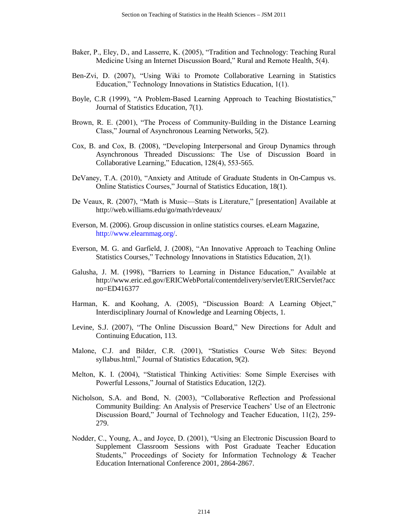- Baker, P., Eley, D., and Lasserre, K. (2005), "Tradition and Technology: Teaching Rural Medicine Using an Internet Discussion Board," Rural and Remote Health, 5(4).
- Ben-Zvi, D. (2007), "Using Wiki to Promote Collaborative Learning in Statistics Education," Technology Innovations in Statistics Education, 1(1).
- Boyle, C.R (1999), "A Problem-Based Learning Approach to Teaching Biostatistics," Journal of Statistics Education, 7(1).
- Brown, R. E. (2001), "The Process of Community-Building in the Distance Learning Class," Journal of Asynchronous Learning Networks, 5(2).
- Cox, B. and Cox, B. (2008), "Developing Interpersonal and Group Dynamics through Asynchronous Threaded Discussions: The Use of Discussion Board in Collaborative Learning," Education, 128(4), 553-565.
- DeVaney, T.A. (2010), "Anxiety and Attitude of Graduate Students in On-Campus vs. Online Statistics Courses," Journal of Statistics Education, 18(1).
- De Veaux, R. (2007), "Math is Music—Stats is Literature," [presentation] Available at http://web.williams.edu/go/math/rdeveaux/
- Everson, M. (2006). Group discussion in online statistics courses. eLearn Magazine, http://www.elearnmag.org/.
- Everson, M. G. and Garfield, J. (2008), "An Innovative Approach to Teaching Online Statistics Courses," Technology Innovations in Statistics Education, 2(1).
- Galusha, J. M. (1998), "Barriers to Learning in Distance Education," Available at http://www.eric.ed.gov/ERICWebPortal/contentdelivery/servlet/ERICServlet?acc no=ED416377
- Harman, K. and Koohang, A. (2005), "Discussion Board: A Learning Object," Interdisciplinary Journal of Knowledge and Learning Objects, 1.
- Levine, S.J. (2007), "The Online Discussion Board," New Directions for Adult and Continuing Education, 113.
- Malone, C.J. and Bilder, C.R. (2001), "Statistics Course Web Sites: Beyond syllabus.html," Journal of Statistics Education, 9(2).
- Melton, K. I. (2004), "Statistical Thinking Activities: Some Simple Exercises with Powerful Lessons," Journal of Statistics Education, 12(2).
- Nicholson, S.A. and Bond, N. (2003), "Collaborative Reflection and Professional Community Building: An Analysis of Preservice Teachers' Use of an Electronic Discussion Board," Journal of Technology and Teacher Education, 11(2), 259- 279.
- Nodder, C., Young, A., and Joyce, D. (2001), "Using an Electronic Discussion Board to Supplement Classroom Sessions with Post Graduate Teacher Education Students," Proceedings of Society for Information Technology & Teacher Education International Conference 2001, 2864-2867.